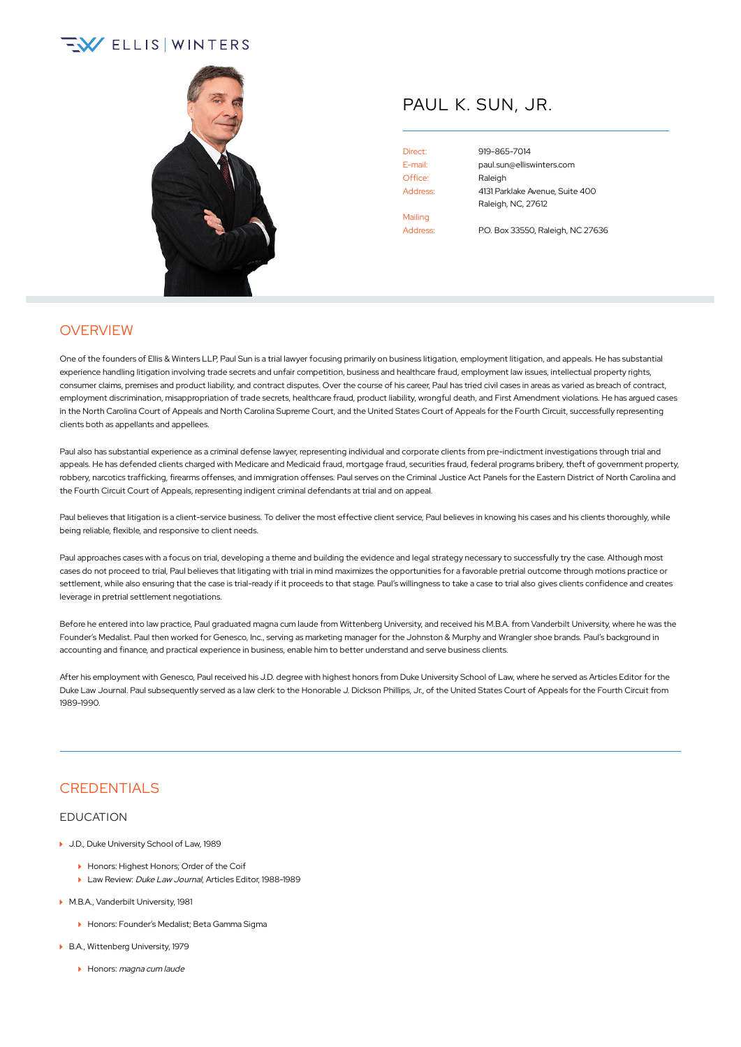# $\sqrt{2}$  ELLIS WINTERS



## PAUL K. SUN, JR.

Office: Raleigh Mailing Address: P.O. Box 33550, Raleigh, NC 27636

Direct: [919-865-7014](tel:+1-919-865-7014) E-mail: [paul.sun@elliswinters.com](mailto:paul.sun@elliswinters.com) Address: 4131 Parklake Avenue, Suite 400 Raleigh, NC, 27612

### **OVERVIEW**

One of the founders of Ellis & Winters LLP, Paul Sun is a trial lawyer focusing primarily on business litigation, employment litigation, and appeals. He has substantial experience handling litigation involving trade secrets and unfair competition, business and healthcare fraud, employment law issues, intellectual property rights, consumer claims, premises and product liability, and contract disputes. Over the course of his career, Paul has tried civil cases in areas as varied as breach of contract, employment discrimination, misappropriation of trade secrets, healthcare fraud, product liability, wrongful death, and First Amendment violations. He has argued cases in the North Carolina Court of Appeals and North Carolina Supreme Court, and the United States Court of Appeals for the Fourth Circuit, successfully representing clients both as appellants and appellees.

Paul also has substantial experience as a criminal defense lawyer, representing individual and corporate clients from pre-indictment investigations through trial and appeals. He has defended clients charged with Medicare and Medicaid fraud, mortgage fraud, securities fraud, federal programs bribery, theft of government property, robbery, narcotics trafficking, firearms offenses, and immigration offenses. Paul serves on the Criminal Justice Act Panels for the Eastern District of North Carolina and the Fourth Circuit Court of Appeals, representing indigent criminal defendants at trial and on appeal.

Paul believes that litigation is a client-service business. To deliver the most effective client service. Paul believes in knowing his cases and his clients thoroughly, while being reliable, flexible, and responsive to client needs.

Paul approaches cases with a focus on trial, developing a theme and building the evidence and legal strategy necessary to successfully try the case. Although most cases do not proceed to trial, Paul believes that litigating with trial in mind maximizes the opportunities for a favorable pretrial outcome through motions practice or settlement, while also ensuring that the case is trial-ready if it proceeds to that stage. Paul's willingness to take a case to trial also gives clients confidence and creates leverage in pretrial settlement negotiations.

Before he entered into law practice, Paul graduated magna cum laude from Wittenberg University, and received his M.B.A. from Vanderbilt University, where he was the Founder's Medalist. Paul then worked for Genesco, Inc., serving as marketing manager for the Johnston & Murphy and Wrangler shoe brands. Paul's background in accounting and finance, and practical experience in business, enable him to better understand and serve business clients.

After his employment with Genesco, Paul received his J.D. degree with highest honors from Duke University School of Law, where he served as Articles Editor for the Duke Law Journal. Paul subsequently served as a law clerk to the Honorable J. Dickson Phillips, Jr., of the United States Court of Appeals for the Fourth Circuit from 1989-1990.

### CREDENTIALS

#### EDUCATION

- ▶ J.D., Duke University School of Law, 1989
	- **Honors: Highest Honors: Order of the Coif**
	- Law Review: Duke Law Journal, Articles Editor, 1988-1989
- M.B.A., Vanderbilt University, 1981
	- Honors: Founder's Medalist; Beta Gamma Sigma
- ▶ B.A., Wittenberg University, 1979
	- Honors: magna cum laude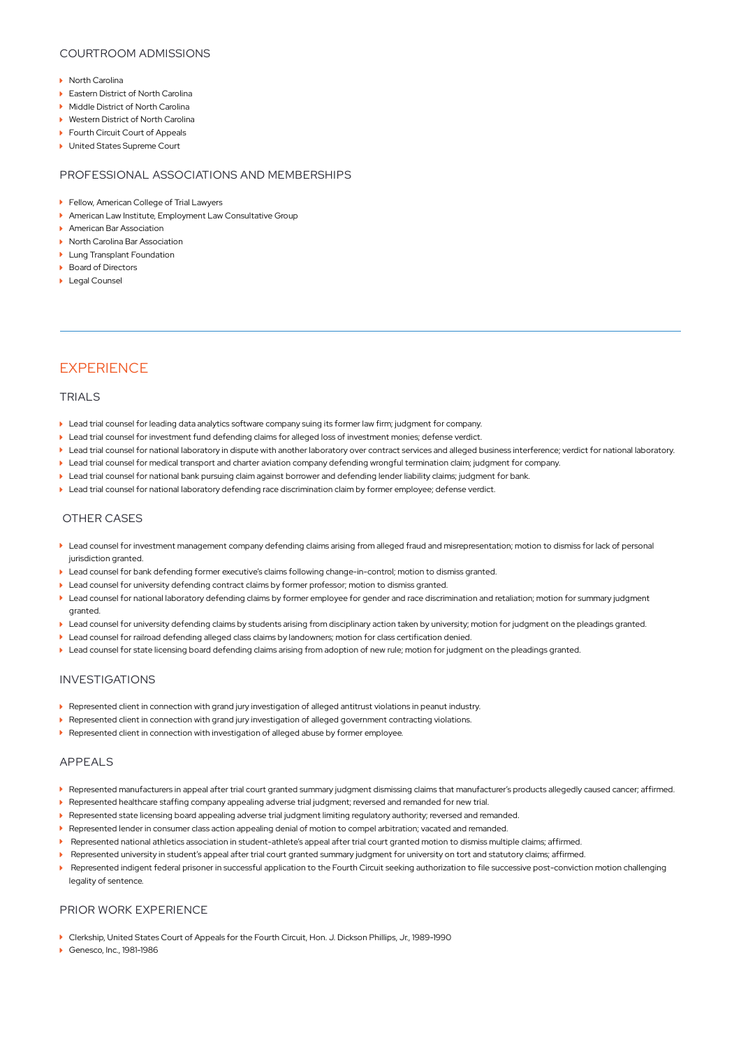#### COURTROOM ADMISSIONS

- **North Carolina**
- ▶ Eastern District of North Carolina
- ▶ Middle District of North Carolina
- **Mestern District of North Carolina**
- ▶ Fourth Circuit Court of Appeals
- ▶ United States Supreme Court

#### PROFESSIONAL ASSOCIATIONS AND MEMBERSHIPS

- **Fellow, American College of Trial Lawyers**
- American Law Institute, Employment Law Consultative Group
- **American Bar Association**
- ▶ North Carolina Bar Association
- **Lung Transplant Foundation**
- ▶ Board of Directors
- **Legal Counsel**

### **EXPERIENCE**

#### TRIALS

- Lead trial counsel for leading data analytics software company suing its former law firm; judgment for company.
- Lead trial counsel for investment fund defending claims for alleged loss of investment monies; defense verdict.
- Lead trial counsel for national laboratory in dispute with another laboratory over contract services and alleged business interference; verdict for national laboratory.
- Lead trial counsel for medical transport and charter aviation company defending wrongful termination claim; judgment for company.
- Lead trial counsel for national bank pursuing claim against borrower and defending lender liability claims; judgment for bank.
- Lead trial counsel for national laboratory defending race discrimination claim by former employee; defense verdict.

#### OTHER CASES

- Lead counsel for investment management company defending claims arising from alleged fraud and misrepresentation; motion to dismiss for lack of personal jurisdiction granted.
- Lead counsel for bank defending former executive's claims following change-in-control; motion to dismiss granted.
- Lead counsel for university defending contract claims by former professor; motion to dismiss granted.
- Lead counsel for national laboratory defending claims by former employee for gender and race discrimination and retaliation; motion for summary judgment granted.
- Lead counsel for university defending claims by students arising from disciplinary action taken by university; motion for judgment on the pleadings granted.
- Lead counsel for railroad defending alleged class claims by landowners; motion for class certification denied.
- Lead counsel for state licensing board defending claims arising from adoption of new rule; motion for judgment on the pleadings granted.

#### INVESTIGATIONS

- Represented client in connection with grand jury investigation of alleged antitrust violations in peanut industry.
- Represented client in connection with grand jury investigation of alleged government contracting violations.
- Represented client in connection with investigation of alleged abuse by former employee.

#### APPEALS

- Represented manufacturers in appeal after trial court granted summary judgment dismissing claims that manufacturer's products allegedly caused cancer; affirmed.
- Represented healthcare staffing company appealing adverse trial judgment; reversed and remanded for new trial.
- Represented state licensing board appealing adverse trial judgment limiting regulatory authority; reversed and remanded.
- Represented lender in consumer class action appealing denial of motion to compel arbitration; vacated and remanded.
- Represented national athletics association in student-athlete's appeal after trial court granted motion to dismiss multiple claims; affirmed.
- Represented university in student's appeal after trial court granted summary judgment for university on tort and statutory claims; affirmed.
- Represented indigent federal prisoner in successful application to the Fourth Circuit seeking authorization to file successive post-conviction motion challenging legality of sentence.

#### PRIOR WORK EXPERIENCE

- Clerkship, United States Court of Appeals for the Fourth Circuit, Hon. J. Dickson Phillips, Jr., 1989-1990
- ▶ Genesco, Inc., 1981-1986